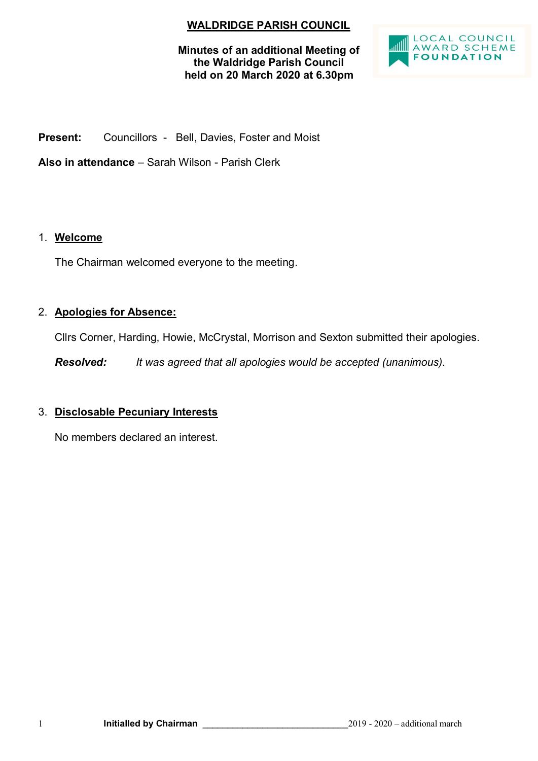# **WALDRIDGE PARISH COUNCIL**

**Minutes of an additional Meeting of the Waldridge Parish Council held on 20 March 2020 at 6.30pm**



**Present:** Councillors - Bell, Davies, Foster and Moist

**Also in attendance** – Sarah Wilson - Parish Clerk

# 1. **Welcome**

The Chairman welcomed everyone to the meeting.

# 2. **Apologies for Absence:**

Cllrs Corner, Harding, Howie, McCrystal, Morrison and Sexton submitted their apologies.

*Resolved: It was agreed that all apologies would be accepted (unanimous).*

# 3. **Disclosable Pecuniary Interests**

No members declared an interest.